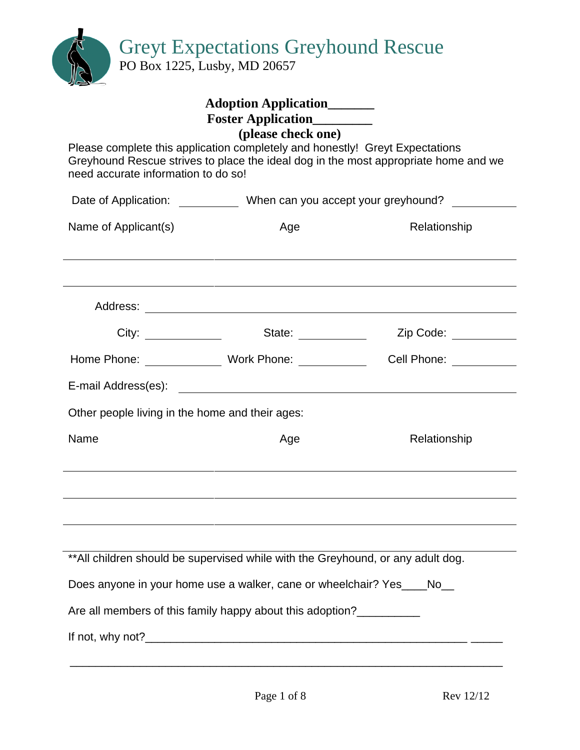Greyt Expectations Greyhound Rescue

PO Box 1225, Lusby, MD 20657

| Please complete this application completely and honestly! Greyt Expectations<br>need accurate information to do so! | <b>Adoption Application</b><br>Foster Application_________<br>(please check one) | Greyhound Rescue strives to place the ideal dog in the most appropriate home and we                                                                                                                                            |  |  |
|---------------------------------------------------------------------------------------------------------------------|----------------------------------------------------------------------------------|--------------------------------------------------------------------------------------------------------------------------------------------------------------------------------------------------------------------------------|--|--|
|                                                                                                                     | Date of Application: ____________ When can you accept your greyhound?            |                                                                                                                                                                                                                                |  |  |
| Name of Applicant(s)                                                                                                | Age                                                                              | Relationship                                                                                                                                                                                                                   |  |  |
|                                                                                                                     |                                                                                  |                                                                                                                                                                                                                                |  |  |
|                                                                                                                     | State:                                                                           | Zip Code: __________                                                                                                                                                                                                           |  |  |
| Home Phone: Work Phone:                                                                                             |                                                                                  | Cell Phone: The Collection of the Collection of the Collection of the Collection of the Collection of the Collection of the Collection of the Collection of the Collection of the Collection of the Collection of the Collecti |  |  |
|                                                                                                                     |                                                                                  |                                                                                                                                                                                                                                |  |  |
| Other people living in the home and their ages:                                                                     |                                                                                  |                                                                                                                                                                                                                                |  |  |
| Name                                                                                                                | Age                                                                              | Relationship                                                                                                                                                                                                                   |  |  |
|                                                                                                                     |                                                                                  |                                                                                                                                                                                                                                |  |  |
|                                                                                                                     |                                                                                  |                                                                                                                                                                                                                                |  |  |
| ** All children should be supervised while with the Greyhound, or any adult dog.                                    |                                                                                  |                                                                                                                                                                                                                                |  |  |
| Does anyone in your home use a walker, cane or wheelchair? Yes____No__                                              |                                                                                  |                                                                                                                                                                                                                                |  |  |
| Are all members of this family happy about this adoption?                                                           |                                                                                  |                                                                                                                                                                                                                                |  |  |
|                                                                                                                     |                                                                                  |                                                                                                                                                                                                                                |  |  |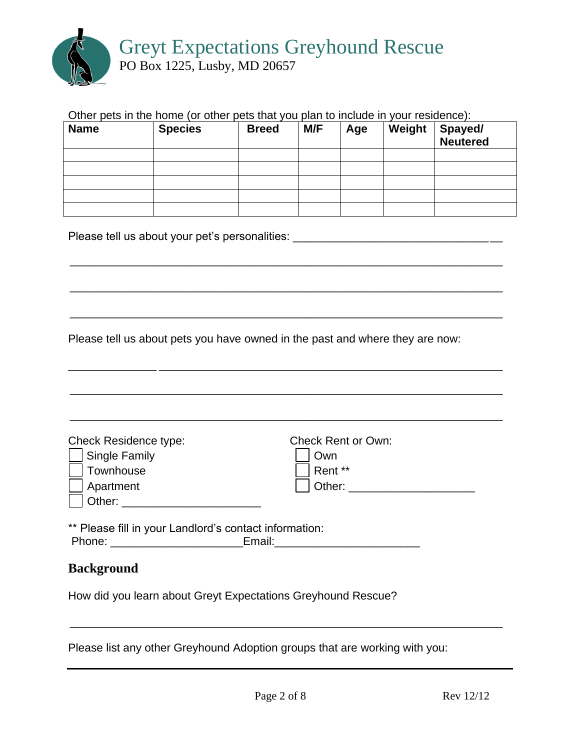

#### Other pets in the home (or other pets that you plan to include in your residence):

| <b>Name</b> | <b>Species</b> | <b>Breed</b> | M/F | Age | Weight | Spayed/<br>Neutered |
|-------------|----------------|--------------|-----|-----|--------|---------------------|
|             |                |              |     |     |        |                     |
|             |                |              |     |     |        |                     |
|             |                |              |     |     |        |                     |
|             |                |              |     |     |        |                     |
|             |                |              |     |     |        |                     |

\_\_\_\_\_\_\_\_\_\_\_\_\_\_\_\_\_\_\_\_\_\_\_\_\_\_\_\_\_\_\_\_\_\_\_\_\_\_\_\_\_\_\_\_\_\_\_\_\_\_\_\_\_\_\_\_\_\_\_\_\_\_\_\_\_\_\_\_

\_\_\_\_\_\_\_\_\_\_\_\_\_\_\_\_\_\_\_\_\_\_\_\_\_\_\_\_\_\_\_\_\_\_\_\_\_\_\_\_\_\_\_\_\_\_\_\_\_\_\_\_\_\_\_\_\_\_\_\_\_\_\_\_\_\_\_\_

\_\_\_\_\_\_\_\_\_\_\_\_\_\_\_\_\_\_\_\_\_\_\_\_\_\_\_\_\_\_\_\_\_\_\_\_\_\_\_\_\_\_\_\_\_\_\_\_\_\_\_\_\_\_\_\_\_\_\_\_\_\_\_\_\_\_\_\_

Please tell us about your pet's personalities: \_\_\_\_\_\_\_\_\_\_\_\_\_\_\_\_\_\_\_\_\_\_\_\_\_\_\_\_\_\_\_\_\_

Please tell us about pets you have owned in the past and where they are now:

\_\_\_\_\_\_\_\_\_\_\_\_\_\_ \_\_\_\_\_\_\_\_\_\_\_\_\_\_\_\_\_\_\_\_\_\_\_\_\_\_\_\_\_\_\_\_\_\_\_\_\_\_\_\_\_\_\_\_\_\_\_\_\_\_\_\_\_\_ \_\_\_\_\_\_\_\_\_\_\_\_\_\_\_\_\_\_\_\_\_\_\_\_\_\_\_\_\_\_\_\_\_\_\_\_\_\_\_\_\_\_\_\_\_\_\_\_\_\_\_\_\_\_\_\_\_\_\_\_\_\_\_\_\_\_\_\_ \_\_\_\_\_\_\_\_\_\_\_\_\_\_\_\_\_\_\_\_\_\_\_\_\_\_\_\_\_\_\_\_\_\_\_\_\_\_\_\_\_\_\_\_\_\_\_\_\_\_\_\_\_\_\_\_\_\_\_\_\_\_\_\_\_\_\_\_ Check Residence type: Check Rent or Own: Single Family **Single Family Own** Townhouse Rent \*\* Apartment Other: \_\_\_\_\_\_\_\_\_\_\_\_\_\_\_\_\_\_\_\_ | Other: \_\_\_\_\_\_\_\_\_\_\_\_\_\_\_\_\_\_\_\_\_\_\_\_\_\_ \*\* Please fill in your Landlord's contact information: Phone: \_\_\_\_\_\_\_\_\_\_\_\_\_\_\_\_\_\_\_\_\_Email:\_\_\_\_\_\_\_\_\_\_\_\_\_\_\_\_\_\_\_\_\_\_\_

### **Background**

How did you learn about Greyt Expectations Greyhound Rescue?

Please list any other Greyhound Adoption groups that are working with you:

\_\_\_\_\_\_\_\_\_\_\_\_\_\_\_\_\_\_\_\_\_\_\_\_\_\_\_\_\_\_\_\_\_\_\_\_\_\_\_\_\_\_\_\_\_\_\_\_\_\_\_\_\_\_\_\_\_\_\_\_\_\_\_\_\_\_\_\_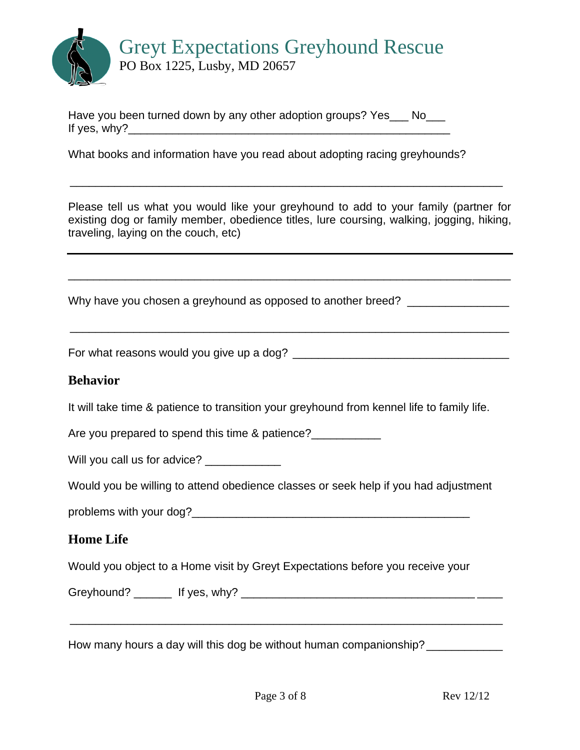

Have you been turned down by any other adoption groups? Yes No If yes,  $why$ ?

What books and information have you read about adopting racing greyhounds?

Please tell us what you would like your greyhound to add to your family (partner for existing dog or family member, obedience titles, lure coursing, walking, jogging, hiking, traveling, laying on the couch, etc)

\_\_\_\_\_\_\_\_\_\_\_\_\_\_\_\_\_\_\_\_\_\_\_\_\_\_\_\_\_\_\_\_\_\_\_\_\_\_\_\_\_\_\_\_\_\_\_\_\_\_\_\_\_\_\_\_\_\_\_\_\_\_\_\_\_\_\_\_\_\_

\_\_\_\_\_\_\_\_\_\_\_\_\_\_\_\_\_\_\_\_\_\_\_\_\_\_\_\_\_\_\_\_\_\_\_\_\_\_\_\_\_\_\_\_\_\_\_\_\_\_\_\_\_\_\_\_\_\_\_\_\_\_\_\_\_\_\_\_\_

\_\_\_\_\_\_\_\_\_\_\_\_\_\_\_\_\_\_\_\_\_\_\_\_\_\_\_\_\_\_\_\_\_\_\_\_\_\_\_\_\_\_\_\_\_\_\_\_\_\_\_\_\_\_\_\_\_\_\_\_\_\_\_\_\_\_\_\_

Why have you chosen a greyhound as opposed to another breed? \_\_\_\_\_\_\_\_\_\_\_\_\_\_\_\_\_\_

For what reasons would you give up a dog? \_\_\_\_\_\_\_\_\_\_\_\_\_\_\_\_\_\_\_\_\_\_\_\_\_\_\_\_\_\_\_\_\_\_

#### **Behavior**

It will take time & patience to transition your greyhound from kennel life to family life.

Are you prepared to spend this time & patience?

Will you call us for advice? \_\_\_\_\_\_\_\_\_\_\_\_\_\_

Would you be willing to attend obedience classes or seek help if you had adjustment

problems with your dog?

### **Home Life**

Would you object to a Home visit by Greyt Expectations before you receive your

Greyhound? \_\_\_\_\_\_ If yes, why? \_\_\_\_\_\_\_\_\_\_\_\_\_\_\_\_\_\_\_\_\_\_\_\_\_\_\_\_\_\_\_\_\_\_\_\_\_ \_\_\_\_

How many hours a day will this dog be without human companionship?

\_\_\_\_\_\_\_\_\_\_\_\_\_\_\_\_\_\_\_\_\_\_\_\_\_\_\_\_\_\_\_\_\_\_\_\_\_\_\_\_\_\_\_\_\_\_\_\_\_\_\_\_\_\_\_\_\_\_\_\_\_\_\_\_\_\_\_\_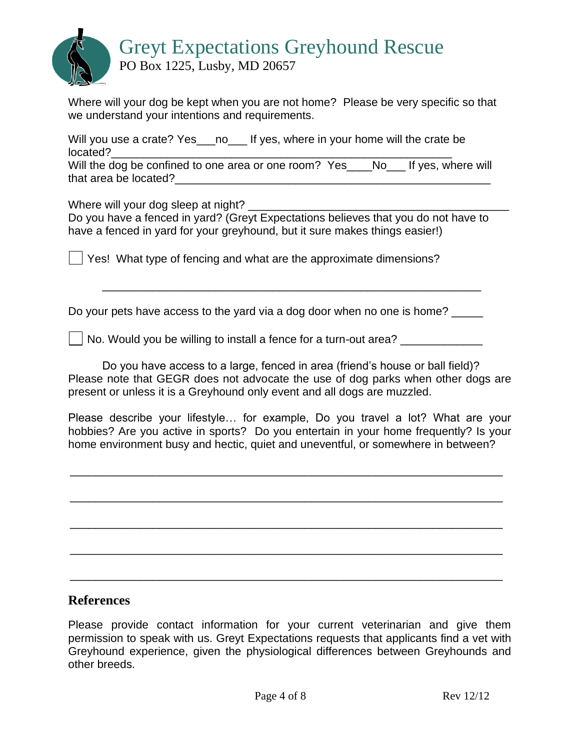

Where will your dog be kept when you are not home? Please be very specific so that we understand your intentions and requirements.

Will you use a crate? Yes\_\_\_no\_\_\_ If yes, where in your home will the crate be located?\_\_\_\_\_\_\_\_\_\_\_\_\_\_\_\_\_\_\_\_\_\_\_\_\_\_\_\_\_\_\_\_\_\_\_\_\_\_\_\_\_\_\_\_\_\_\_\_\_\_\_\_\_\_

Will the dog be confined to one area or one room? Yes\_\_\_No\_\_\_ If yes, where will that area be located?

Where will your dog sleep at night?

Do you have a fenced in yard? (Greyt Expectations believes that you do not have to have a fenced in yard for your greyhound, but it sure makes things easier!)

Yes! What type of fencing and what are the approximate dimensions?

Do your pets have access to the yard via a dog door when no one is home?

 $\vert$  No. Would you be willing to install a fence for a turn-out area?

Do you have access to a large, fenced in area (friend's house or ball field)? Please note that GEGR does not advocate the use of dog parks when other dogs are present or unless it is a Greyhound only event and all dogs are muzzled.

\_\_\_\_\_\_\_\_\_\_\_\_\_\_\_\_\_\_\_\_\_\_\_\_\_\_\_\_\_\_\_\_\_\_\_\_\_\_\_\_\_\_\_\_\_\_\_\_\_\_\_\_\_\_\_\_\_\_\_\_

Please describe your lifestyle… for example, Do you travel a lot? What are your hobbies? Are you active in sports? Do you entertain in your home frequently? Is your home environment busy and hectic, quiet and uneventful, or somewhere in between?

\_\_\_\_\_\_\_\_\_\_\_\_\_\_\_\_\_\_\_\_\_\_\_\_\_\_\_\_\_\_\_\_\_\_\_\_\_\_\_\_\_\_\_\_\_\_\_\_\_\_\_\_\_\_\_\_\_\_\_\_\_\_\_\_\_\_\_\_

\_\_\_\_\_\_\_\_\_\_\_\_\_\_\_\_\_\_\_\_\_\_\_\_\_\_\_\_\_\_\_\_\_\_\_\_\_\_\_\_\_\_\_\_\_\_\_\_\_\_\_\_\_\_\_\_\_\_\_\_\_\_\_\_\_\_\_\_

\_\_\_\_\_\_\_\_\_\_\_\_\_\_\_\_\_\_\_\_\_\_\_\_\_\_\_\_\_\_\_\_\_\_\_\_\_\_\_\_\_\_\_\_\_\_\_\_\_\_\_\_\_\_\_\_\_\_\_\_\_\_\_\_\_\_\_\_

\_\_\_\_\_\_\_\_\_\_\_\_\_\_\_\_\_\_\_\_\_\_\_\_\_\_\_\_\_\_\_\_\_\_\_\_\_\_\_\_\_\_\_\_\_\_\_\_\_\_\_\_\_\_\_\_\_\_\_\_\_\_\_\_\_\_\_\_ \_\_\_\_\_\_\_\_\_\_\_\_\_\_\_\_\_\_\_\_\_\_\_\_\_\_\_\_\_\_\_\_\_\_\_\_\_\_\_\_\_\_\_\_\_\_\_\_\_\_\_\_\_\_\_\_\_\_\_\_\_\_\_\_\_\_\_\_

# **References**

Please provide contact information for your current veterinarian and give them permission to speak with us. Greyt Expectations requests that applicants find a vet with Greyhound experience, given the physiological differences between Greyhounds and other breeds.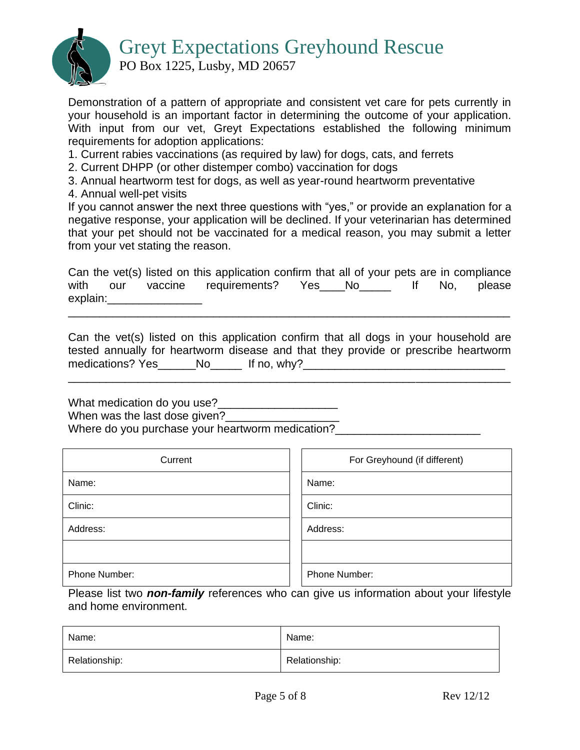# Greyt Expectations Greyhound Rescue



PO Box 1225, Lusby, MD 20657

Demonstration of a pattern of appropriate and consistent vet care for pets currently in your household is an important factor in determining the outcome of your application. With input from our vet, Greyt Expectations established the following minimum requirements for adoption applications:

- 1. Current rabies vaccinations (as required by law) for dogs, cats, and ferrets
- 2. Current DHPP (or other distemper combo) vaccination for dogs
- 3. Annual heartworm test for dogs, as well as year-round heartworm preventative
- 4. Annual well-pet visits

If you cannot answer the next three questions with "yes," or provide an explanation for a negative response, your application will be declined. If your veterinarian has determined that your pet should not be vaccinated for a medical reason, you may submit a letter from your vet stating the reason.

Can the vet(s) listed on this application confirm that all of your pets are in compliance with our vaccine requirements? Yes\_\_\_No\_\_\_\_ If No, please explain:\_\_\_\_\_\_\_\_\_\_\_\_\_\_\_ \_\_\_\_\_\_\_\_\_\_\_\_\_\_\_\_\_\_\_\_\_\_\_\_\_\_\_\_\_\_\_\_\_\_\_\_\_\_\_\_\_\_\_\_\_\_\_\_\_\_\_\_\_\_\_\_\_\_\_\_\_\_\_\_\_\_\_\_\_\_

Can the vet(s) listed on this application confirm that all dogs in your household are tested annually for heartworm disease and that they provide or prescribe heartworm medications? Yes\_\_\_\_\_\_No\_\_\_\_\_ If no, why?\_\_\_\_\_\_\_\_\_\_\_\_\_\_\_\_\_\_\_\_\_\_\_\_\_\_\_\_\_\_\_\_

\_\_\_\_\_\_\_\_\_\_\_\_\_\_\_\_\_\_\_\_\_\_\_\_\_\_\_\_\_\_\_\_\_\_\_\_\_\_\_\_\_\_\_\_\_\_\_\_\_\_\_\_\_\_\_\_\_\_\_\_\_\_\_\_\_\_\_\_\_\_

What medication do you use?\_\_\_\_\_\_\_\_\_\_\_\_\_\_\_\_\_\_\_

When was the last dose given?

Where do you purchase your heartworm medication?<br>

| Current       | For Greyhound (if different) |
|---------------|------------------------------|
| Name:         | Name:                        |
| Clinic:       | Clinic:                      |
| Address:      | Address:                     |
|               |                              |
| Phone Number: | Phone Number:                |

Please list two *non-family* references who can give us information about your lifestyle and home environment.

| Name:         | Name:         |
|---------------|---------------|
| Relationship: | Relationship: |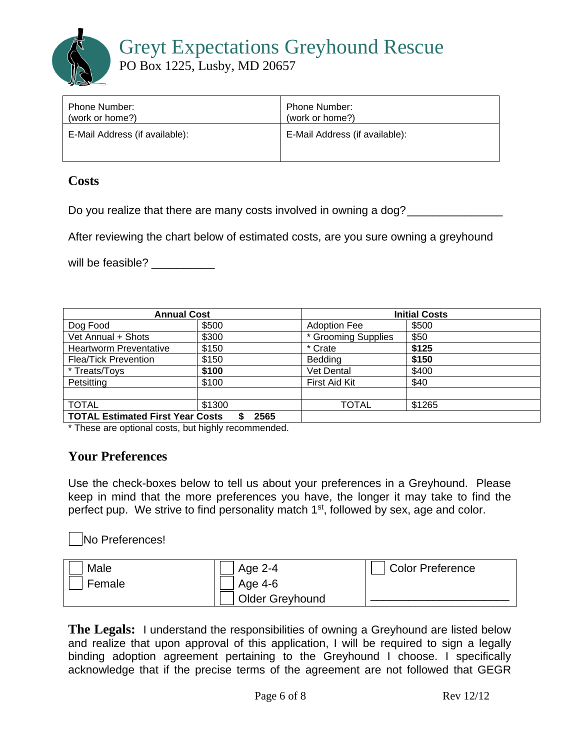Greyt Expectations Greyhound Rescue

PO Box 1225, Lusby, MD 20657

| Phone Number:                  | Phone Number:                  |
|--------------------------------|--------------------------------|
| (work or home?)                | (work or home?)                |
| E-Mail Address (if available): | E-Mail Address (if available): |

## **Costs**

Do you realize that there are many costs involved in owning a dog? \_\_\_\_\_\_\_\_\_\_\_\_\_

After reviewing the chart below of estimated costs, are you sure owning a greyhound

will be feasible?

| <b>Annual Cost</b>                      |        | <b>Initial Costs</b> |        |
|-----------------------------------------|--------|----------------------|--------|
| Dog Food                                | \$500  | <b>Adoption Fee</b>  | \$500  |
| Vet Annual + Shots                      | \$300  | * Grooming Supplies  | \$50   |
| <b>Heartworm Preventative</b>           | \$150  | * Crate              | \$125  |
| <b>Flea/Tick Prevention</b>             | \$150  | <b>Bedding</b>       | \$150  |
| * Treats/Toys                           | \$100  | Vet Dental           | \$400  |
| Petsitting                              | \$100  | First Aid Kit        | \$40   |
|                                         |        |                      |        |
| <b>TOTAL</b>                            | \$1300 | <b>TOTAL</b>         | \$1265 |
| <b>TOTAL Estimated First Year Costs</b> | 2565   |                      |        |

\* These are optional costs, but highly recommended.

# **Your Preferences**

Use the check-boxes below to tell us about your preferences in a Greyhound. Please keep in mind that the more preferences you have, the longer it may take to find the perfect pup. We strive to find personality match 1<sup>st</sup>, followed by sex, age and color.

No Preferences!

| Male   | Age 2-4                | <b>Color Preference</b> |
|--------|------------------------|-------------------------|
| Female | Age 4-6                |                         |
|        | <b>Older Greyhound</b> |                         |

**The Legals:** I understand the responsibilities of owning a Greyhound are listed below and realize that upon approval of this application, I will be required to sign a legally binding adoption agreement pertaining to the Greyhound I choose. I specifically acknowledge that if the precise terms of the agreement are not followed that GEGR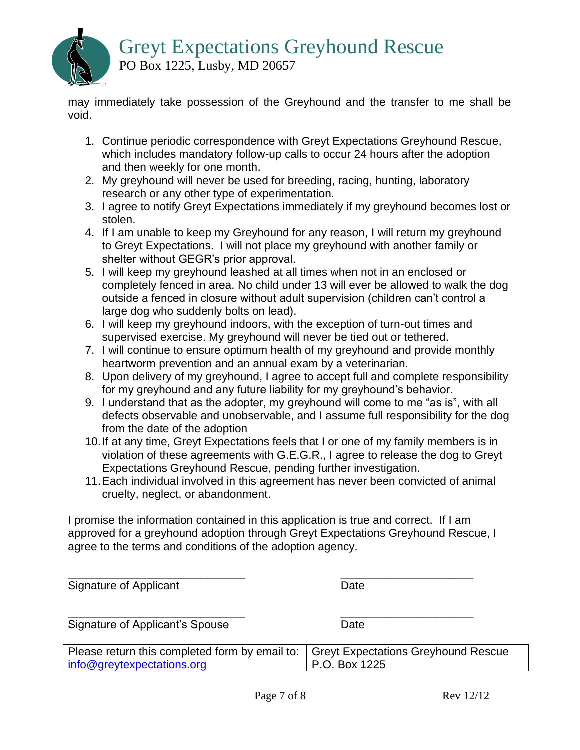

PO Box 1225, Lusby, MD 20657

may immediately take possession of the Greyhound and the transfer to me shall be void.

- 1. Continue periodic correspondence with Greyt Expectations Greyhound Rescue, which includes mandatory follow-up calls to occur 24 hours after the adoption and then weekly for one month.
- 2. My greyhound will never be used for breeding, racing, hunting, laboratory research or any other type of experimentation.
- 3. I agree to notify Greyt Expectations immediately if my greyhound becomes lost or stolen.
- 4. If I am unable to keep my Greyhound for any reason, I will return my greyhound to Greyt Expectations. I will not place my greyhound with another family or shelter without GEGR's prior approval.
- 5. I will keep my greyhound leashed at all times when not in an enclosed or completely fenced in area. No child under 13 will ever be allowed to walk the dog outside a fenced in closure without adult supervision (children can't control a large dog who suddenly bolts on lead).
- 6. I will keep my greyhound indoors, with the exception of turn-out times and supervised exercise. My greyhound will never be tied out or tethered.
- 7. I will continue to ensure optimum health of my greyhound and provide monthly heartworm prevention and an annual exam by a veterinarian.
- 8. Upon delivery of my greyhound, I agree to accept full and complete responsibility for my greyhound and any future liability for my greyhound's behavior.
- 9. I understand that as the adopter, my greyhound will come to me "as is", with all defects observable and unobservable, and I assume full responsibility for the dog from the date of the adoption
- 10.If at any time, Greyt Expectations feels that I or one of my family members is in violation of these agreements with G.E.G.R., I agree to release the dog to Greyt Expectations Greyhound Rescue, pending further investigation.
- 11.Each individual involved in this agreement has never been convicted of animal cruelty, neglect, or abandonment.

I promise the information contained in this application is true and correct. If I am approved for a greyhound adoption through Greyt Expectations Greyhound Rescue, I agree to the terms and conditions of the adoption agency.

| Signature of Applicant                                                       | Date                                                        |
|------------------------------------------------------------------------------|-------------------------------------------------------------|
| Signature of Applicant's Spouse                                              | Date                                                        |
| Please return this completed form by email to:<br>info@greytexpectations.org | <b>Greyt Expectations Greyhound Rescue</b><br>P.O. Box 1225 |